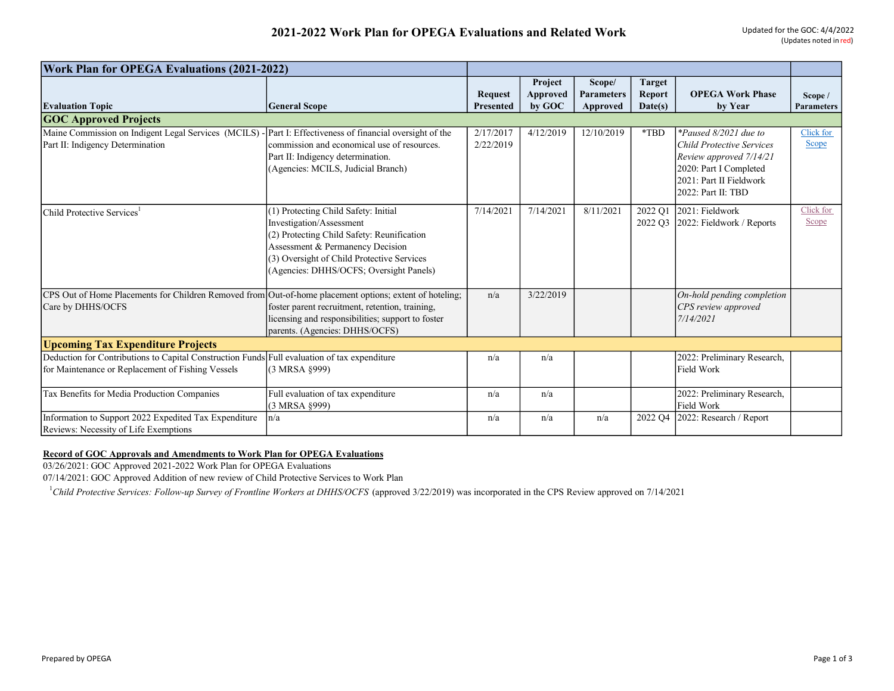| <b>Work Plan for OPEGA Evaluations (2021-2022)</b>                                                                                                |                                                                                                                                                                                                                                             |                                    |                               |                                         |                                           |                                                                                                                                                                 |                              |
|---------------------------------------------------------------------------------------------------------------------------------------------------|---------------------------------------------------------------------------------------------------------------------------------------------------------------------------------------------------------------------------------------------|------------------------------------|-------------------------------|-----------------------------------------|-------------------------------------------|-----------------------------------------------------------------------------------------------------------------------------------------------------------------|------------------------------|
| <b>Evaluation Topic</b>                                                                                                                           | <b>General Scope</b>                                                                                                                                                                                                                        | <b>Request</b><br><b>Presented</b> | Project<br>Approved<br>by GOC | Scope/<br><b>Parameters</b><br>Approved | <b>Target</b><br><b>Report</b><br>Date(s) | <b>OPEGA Work Phase</b><br>by Year                                                                                                                              | Scope /<br><b>Parameters</b> |
| <b>GOC Approved Projects</b>                                                                                                                      |                                                                                                                                                                                                                                             |                                    |                               |                                         |                                           |                                                                                                                                                                 |                              |
| Maine Commission on Indigent Legal Services (MCILS) - Part I: Effectiveness of financial oversight of the<br>Part II: Indigency Determination     | commission and economical use of resources.<br>Part II: Indigency determination.<br>(Agencies: MCILS, Judicial Branch)                                                                                                                      | 2/17/2017<br>2/22/2019             | 4/12/2019                     | 12/10/2019                              | *TBD                                      | *Paused 8/2021 due to<br><b>Child Protective Services</b><br>Review approved 7/14/21<br>2020: Part I Completed<br>2021: Part II Fieldwork<br>2022: Part II: TBD | Click for<br>Scope           |
| Child Protective Services                                                                                                                         | (1) Protecting Child Safety: Initial<br>Investigation/Assessment<br>(2) Protecting Child Safety: Reunification<br>Assessment & Permanency Decision<br>(3) Oversight of Child Protective Services<br>(Agencies: DHHS/OCFS; Oversight Panels) | 7/14/2021                          | 7/14/2021                     | 8/11/2021                               | 2022 O1<br>2022 Q3                        | 2021: Fieldwork<br>2022: Fieldwork / Reports                                                                                                                    | Click for<br>Scope           |
| CPS Out of Home Placements for Children Removed from Out-of-home placement options; extent of hoteling;<br>Care by DHHS/OCFS                      | foster parent recruitment, retention, training,<br>licensing and responsibilities; support to foster<br>parents. (Agencies: DHHS/OCFS)                                                                                                      | n/a                                | 3/22/2019                     |                                         |                                           | On-hold pending completion<br>CPS review approved<br>7/14/2021                                                                                                  |                              |
| <b>Upcoming Tax Expenditure Projects</b>                                                                                                          |                                                                                                                                                                                                                                             |                                    |                               |                                         |                                           |                                                                                                                                                                 |                              |
| Deduction for Contributions to Capital Construction Funds Full evaluation of tax expenditure<br>for Maintenance or Replacement of Fishing Vessels | $(3$ MRSA $§999)$                                                                                                                                                                                                                           | n/a                                | n/a                           |                                         |                                           | 2022: Preliminary Research,<br>Field Work                                                                                                                       |                              |
| Tax Benefits for Media Production Companies                                                                                                       | Full evaluation of tax expenditure<br>(3 MRSA §999)                                                                                                                                                                                         | n/a                                | n/a                           |                                         |                                           | 2022: Preliminary Research,<br>Field Work                                                                                                                       |                              |
| Information to Support 2022 Expedited Tax Expenditure<br>Reviews: Necessity of Life Exemptions                                                    | n/a                                                                                                                                                                                                                                         | n/a                                | n/a                           | n/a                                     | 2022 Q4                                   | 2022: Research / Report                                                                                                                                         |                              |

## Record of GOC Approvals and Amendments to Work Plan for OPEGA Evaluations

03/26/2021: GOC Approved 2021-2022 Work Plan for OPEGA Evaluations

07/14/2021: GOC Approved Addition of new review of Child Protective Services to Work Plan

<sup>1</sup>Child Protective Services: Follow-up Survey of Frontline Workers at DHHS/OCFS (approved 3/22/2019) was incorporated in the CPS Review approved on 7/14/2021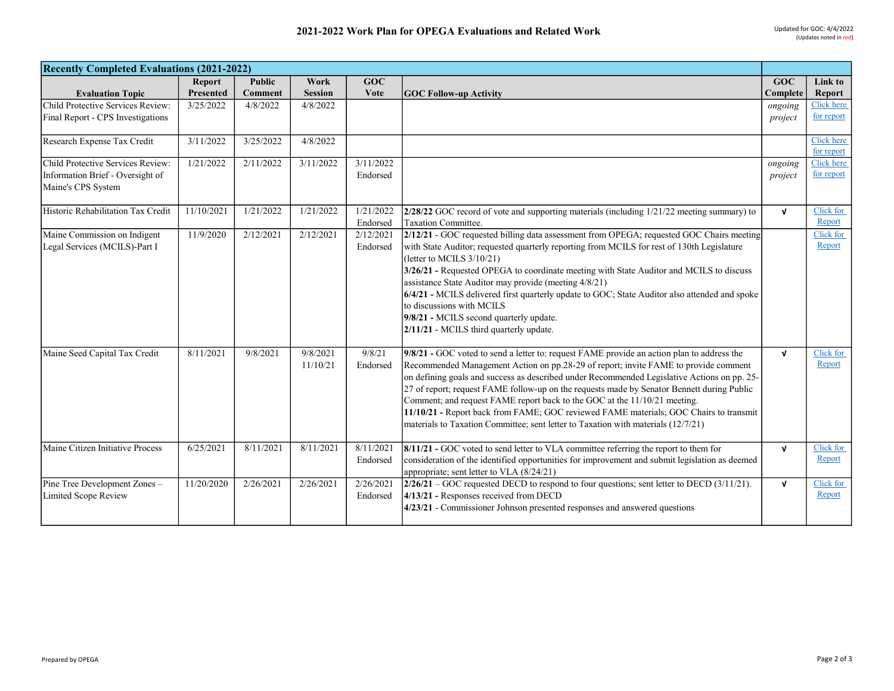| <b>Recently Completed Evaluations (2021-2022)</b> |               |               |                |           |                                                                                                |              |            |
|---------------------------------------------------|---------------|---------------|----------------|-----------|------------------------------------------------------------------------------------------------|--------------|------------|
|                                                   | <b>Report</b> | <b>Public</b> | Work           | GOC       |                                                                                                | GOC          | Link to    |
| <b>Evaluation Topic</b>                           | Presented     | Comment       | <b>Session</b> | Vote      | <b>GOC Follow-up Activity</b>                                                                  | Complete     | Report     |
| Child Protective Services Review:                 | 3/25/2022     | 4/8/2022      | 4/8/2022       |           |                                                                                                | ongoing      | Click here |
| Final Report - CPS Investigations                 |               |               |                |           |                                                                                                | project      | for report |
|                                                   |               |               |                |           |                                                                                                |              |            |
| Research Expense Tax Credit                       | 3/11/2022     | 3/25/2022     | 4/8/2022       |           |                                                                                                |              | Click here |
|                                                   |               |               |                |           |                                                                                                |              | for report |
| Child Protective Services Review:                 | 1/21/2022     | 2/11/2022     | 3/11/2022      | 3/11/2022 |                                                                                                | ongoing      | Click here |
| Information Brief - Oversight of                  |               |               |                | Endorsed  |                                                                                                | project      | for report |
| Maine's CPS System                                |               |               |                |           |                                                                                                |              |            |
| Historic Rehabilitation Tax Credit                | 11/10/2021    | 1/21/2022     | 1/21/2022      | 1/21/2022 | $2/28/22$ GOC record of vote and supporting materials (including $1/21/22$ meeting summary) to | $\mathbf{v}$ | Click for  |
|                                                   |               |               |                | Endorsed  | Taxation Committee.                                                                            |              | Report     |
| Maine Commission on Indigent                      | 11/9/2020     | 2/12/2021     | 2/12/2021      | 2/12/2021 | 2/12/21 - GOC requested billing data assessment from OPEGA; requested GOC Chairs meeting       |              | Click for  |
| Legal Services (MCILS)-Part I                     |               |               |                | Endorsed  | with State Auditor; requested quarterly reporting from MCILS for rest of 130th Legislature     |              | Report     |
|                                                   |               |               |                |           | (letter to MCILS 3/10/21)                                                                      |              |            |
|                                                   |               |               |                |           | 3/26/21 - Requested OPEGA to coordinate meeting with State Auditor and MCILS to discuss        |              |            |
|                                                   |               |               |                |           | assistance State Auditor may provide (meeting 4/8/21)                                          |              |            |
|                                                   |               |               |                |           | 6/4/21 - MCILS delivered first quarterly update to GOC; State Auditor also attended and spoke  |              |            |
|                                                   |               |               |                |           | to discussions with MCILS                                                                      |              |            |
|                                                   |               |               |                |           | 9/8/21 - MCILS second quarterly update.                                                        |              |            |
|                                                   |               |               |                |           | 2/11/21 - MCILS third quarterly update.                                                        |              |            |
|                                                   |               |               |                |           |                                                                                                |              |            |
| Maine Seed Capital Tax Credit                     | 8/11/2021     | 9/8/2021      | 9/8/2021       | 9/8/21    | 9/8/21 - GOC voted to send a letter to: request FAME provide an action plan to address the     | $\mathbf{v}$ | Click for  |
|                                                   |               |               | 11/10/21       | Endorsed  | Recommended Management Action on pp.28-29 of report; invite FAME to provide comment            |              | Report     |
|                                                   |               |               |                |           | on defining goals and success as described under Recommended Legislative Actions on pp. 25-    |              |            |
|                                                   |               |               |                |           | 27 of report; request FAME follow-up on the requests made by Senator Bennett during Public     |              |            |
|                                                   |               |               |                |           | Comment; and request FAME report back to the GOC at the 11/10/21 meeting.                      |              |            |
|                                                   |               |               |                |           | 11/10/21 - Report back from FAME; GOC reviewed FAME materials; GOC Chairs to transmit          |              |            |
|                                                   |               |               |                |           | materials to Taxation Committee; sent letter to Taxation with materials (12/7/21)              |              |            |
| Maine Citizen Initiative Process                  | 6/25/2021     | 8/11/2021     | 8/11/2021      | 8/11/2021 | 8/11/21 - GOC voted to send letter to VLA committee referring the report to them for           | $\mathbf{v}$ | Click for  |
|                                                   |               |               |                | Endorsed  | consideration of the identified opportunities for improvement and submit legislation as deemed |              | Report     |
|                                                   |               |               |                |           | appropriate; sent letter to VLA (8/24/21)                                                      |              |            |
| Pine Tree Development Zones-                      | 11/20/2020    | 2/26/2021     | 2/26/2021      | 2/26/2021 | $2/26/21$ – GOC requested DECD to respond to four questions; sent letter to DECD (3/11/21).    | $\mathbf{v}$ | Click for  |
| Limited Scope Review                              |               |               |                | Endorsed  | 4/13/21 - Responses received from DECD                                                         |              | Report     |
|                                                   |               |               |                |           | 4/23/21 - Commissioner Johnson presented responses and answered questions                      |              |            |
|                                                   |               |               |                |           |                                                                                                |              |            |